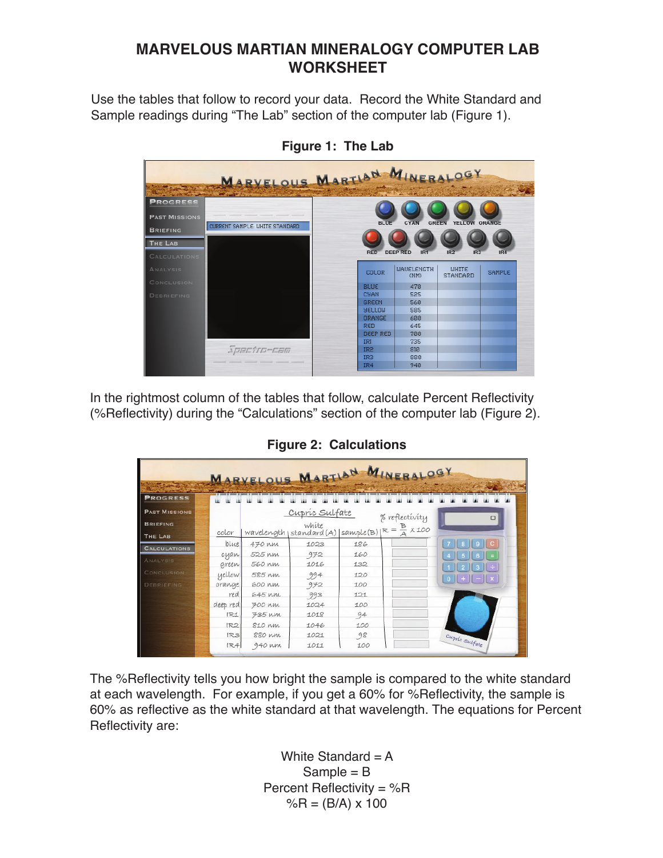## **MARVELOUS MARTIAN MINERALOGY COMPUTER LAB WORKSHEET**

Use the tables that follow to record your data. Record the White Standard and Sample readings during "The Lab" section of the computer lab (Figure 1).



**Figure 1: The Lab** 

In the rightmost column of the tables that follow, calculate Percent Reflectivity (%Reflectivity) during the "Calculations" section of the computer lab (Figure 2).

|                                   |               |                  |                |            | MARYELOUS MARTIAN MINERALOGY                                                 |                 |
|-----------------------------------|---------------|------------------|----------------|------------|------------------------------------------------------------------------------|-----------------|
|                                   |               |                  |                |            |                                                                              |                 |
| <b>PROGRESS</b>                   |               |                  |                |            |                                                                              |                 |
| <b>PAST MISSIONS</b>              |               |                  | Cupric Sulfate |            | % reflectivity                                                               | $\Box$          |
| <b>BRIEFING</b><br><b>THE LAB</b> | color         |                  | white          |            | white<br>wavelength   standard (A)   sample (B) $R = \frac{B}{A} \times 100$ |                 |
| <b>CALCULATIONS</b>               | blue          | 470 nm           | 1023           | 186        |                                                                              |                 |
| ANALYSIS                          | cyan<br>green | 525 KM<br>560 MM | 972<br>1016    | 160<br>132 |                                                                              |                 |
| CONCLUSION                        | yellow        | 585 KM           | 994            | 120        |                                                                              | $0$ + $ \times$ |
| <b>DEBRIEFING</b>                 | orange        | 600 nm           | 972            | 100        |                                                                              |                 |
|                                   | red           | 645 nm           | 993            | 121        |                                                                              |                 |
|                                   | deep red      | $700$ nm         | 1024           | 100        |                                                                              |                 |
|                                   | IR1           | 735 MM           | 1018           | 94         |                                                                              |                 |
|                                   | IR2           | 810 nm           | 1046           | 100        |                                                                              |                 |
|                                   | RS            | 880 MM           | 1021           | 98         |                                                                              |                 |
|                                   | IR4           | 940 nm           | 1011           | 100        |                                                                              | Cupric Sulfate  |

**Figure 2: Calculations** 

The %Reflectivity tells you how bright the sample is compared to the white standard at each wavelength. For example, if you get a 60% for %Reflectivity, the sample is 60% as reflective as the white standard at that wavelength. The equations for Percent Reflectivity are:

> White Standard  $= A$  $Sample = B$ Percent Reflectivity = %R  $%R = (B/A) \times 100$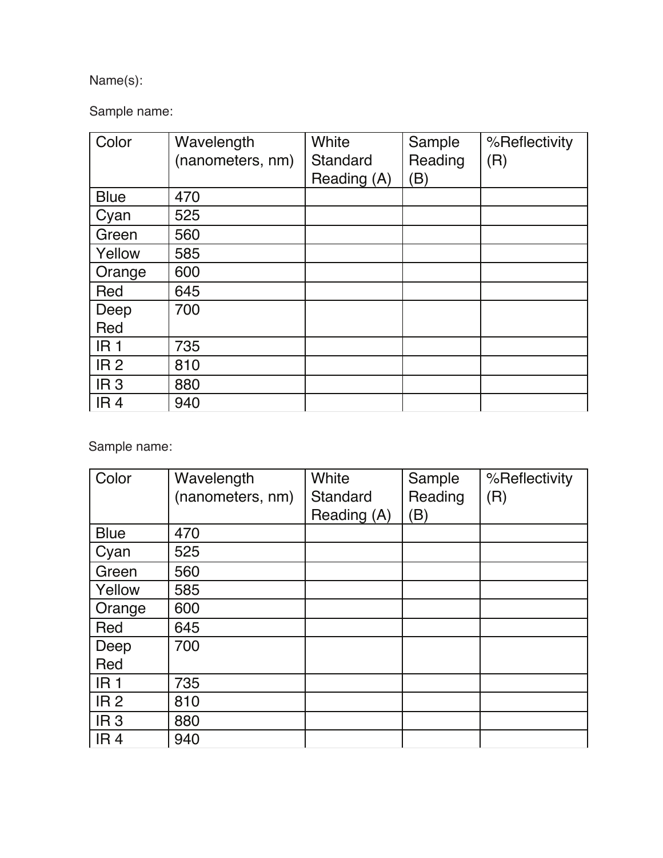## Name(s):

Sample name:

| Color           | Wavelength<br>(nanometers, nm) | White<br>Standard<br>Reading (A) | Sample<br>Reading<br>B) | %Reflectivity<br>(R) |
|-----------------|--------------------------------|----------------------------------|-------------------------|----------------------|
| <b>Blue</b>     | 470                            |                                  |                         |                      |
| Cyan            | 525                            |                                  |                         |                      |
| Green           | 560                            |                                  |                         |                      |
| Yellow          | 585                            |                                  |                         |                      |
| Orange          | 600                            |                                  |                         |                      |
| Red             | 645                            |                                  |                         |                      |
| Deep            | 700                            |                                  |                         |                      |
| Red             |                                |                                  |                         |                      |
| IR <sub>1</sub> | 735                            |                                  |                         |                      |
| IR <sub>2</sub> | 810                            |                                  |                         |                      |
| IR <sub>3</sub> | 880                            |                                  |                         |                      |
| IR <sub>4</sub> | 940                            |                                  |                         |                      |

Sample name: 

| Color           | Wavelength       | White       | Sample  | %Reflectivity |
|-----------------|------------------|-------------|---------|---------------|
|                 | (nanometers, nm) | Standard    | Reading | (R)           |
|                 |                  | Reading (A) | B)      |               |
| <b>Blue</b>     | 470              |             |         |               |
| Cyan            | 525              |             |         |               |
| Green           | 560              |             |         |               |
| Yellow          | 585              |             |         |               |
| Orange          | 600              |             |         |               |
| Red             | 645              |             |         |               |
| Deep            | 700              |             |         |               |
| Red             |                  |             |         |               |
| IR <sub>1</sub> | 735              |             |         |               |
| IR <sub>2</sub> | 810              |             |         |               |
| IR <sub>3</sub> | 880              |             |         |               |
| IR <sub>4</sub> | 940              |             |         |               |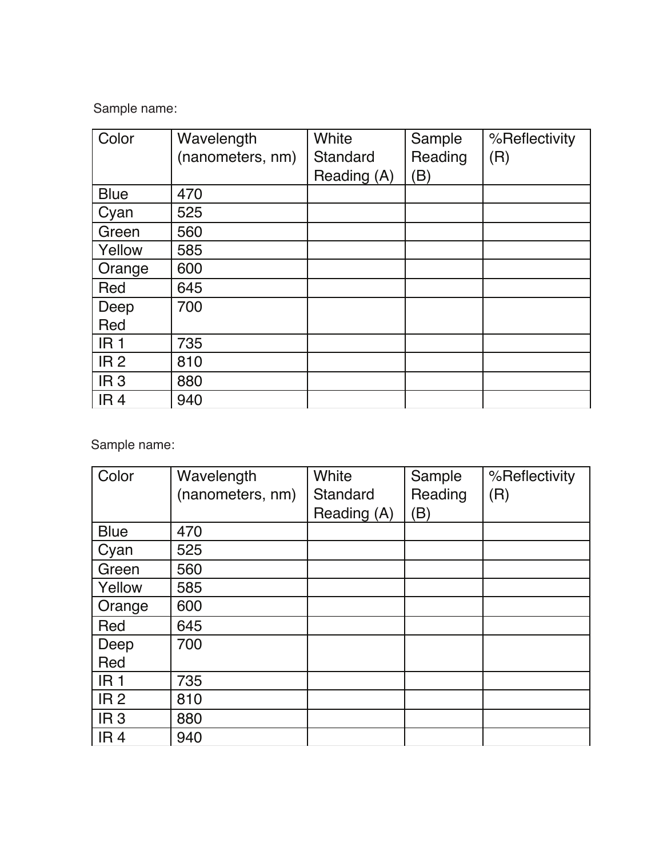Sample name: 

| Color           | Wavelength       | White       | Sample  | %Reflectivity |
|-----------------|------------------|-------------|---------|---------------|
|                 | (nanometers, nm) | Standard    | Reading | (R)           |
|                 |                  | Reading (A) | B)      |               |
| <b>Blue</b>     | 470              |             |         |               |
| Cyan            | 525              |             |         |               |
| Green           | 560              |             |         |               |
| Yellow          | 585              |             |         |               |
| Orange          | 600              |             |         |               |
| Red             | 645              |             |         |               |
| Deep            | 700              |             |         |               |
| Red             |                  |             |         |               |
| IR <sub>1</sub> | 735              |             |         |               |
| IR <sub>2</sub> | 810              |             |         |               |
| IR <sub>3</sub> | 880              |             |         |               |
| IR <sub>4</sub> | 940              |             |         |               |

Sample name: 

| Color           | Wavelength       | White       | Sample  | %Reflectivity |
|-----------------|------------------|-------------|---------|---------------|
|                 | (nanometers, nm) | Standard    | Reading | (R)           |
|                 |                  | Reading (A) | B)      |               |
| <b>Blue</b>     | 470              |             |         |               |
| Cyan            | 525              |             |         |               |
| Green           | 560              |             |         |               |
| Yellow          | 585              |             |         |               |
| Orange          | 600              |             |         |               |
| Red             | 645              |             |         |               |
| Deep            | 700              |             |         |               |
| Red             |                  |             |         |               |
| IR <sub>1</sub> | 735              |             |         |               |
| IR <sub>2</sub> | 810              |             |         |               |
| IR <sub>3</sub> | 880              |             |         |               |
| IR <sub>4</sub> | 940              |             |         |               |